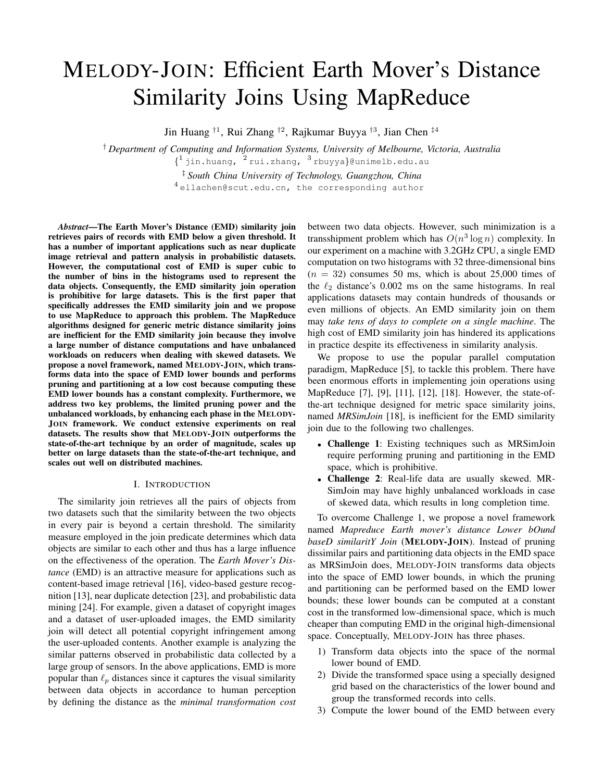# MELODY-JOIN: Efficient Earth Mover's Distance Similarity Joins Using MapReduce

Jin Huang <sup>†1</sup>, Rui Zhang <sup>†2</sup>, Rajkumar Buyya <sup>†3</sup>, Jian Chen <sup>‡4</sup>

† *Department of Computing and Information Systems, University of Melbourne, Victoria, Australia*

 $\{\frac{1}{1}$ jin.huang,  $\frac{2}{1}$ rui.zhang,  $\frac{3}{1}$ rbuyya}@unimelb.edu.au

‡ *South China University of Technology, Guangzhou, China*

<sup>4</sup> ellachen@scut.edu.cn, the corresponding author

*Abstract*—The Earth Mover's Distance (EMD) similarity join retrieves pairs of records with EMD below a given threshold. It has a number of important applications such as near duplicate image retrieval and pattern analysis in probabilistic datasets. However, the computational cost of EMD is super cubic to the number of bins in the histograms used to represent the data objects. Consequently, the EMD similarity join operation is prohibitive for large datasets. This is the first paper that specifically addresses the EMD similarity join and we propose to use MapReduce to approach this problem. The MapReduce algorithms designed for generic metric distance similarity joins are inefficient for the EMD similarity join because they involve a large number of distance computations and have unbalanced workloads on reducers when dealing with skewed datasets. We propose a novel framework, named MELODY-JOIN, which transforms data into the space of EMD lower bounds and performs pruning and partitioning at a low cost because computing these EMD lower bounds has a constant complexity. Furthermore, we address two key problems, the limited pruning power and the unbalanced workloads, by enhancing each phase in the MELODY-JOIN framework. We conduct extensive experiments on real datasets. The results show that MELODY-JOIN outperforms the state-of-the-art technique by an order of magnitude, scales up better on large datasets than the state-of-the-art technique, and scales out well on distributed machines.

# I. INTRODUCTION

The similarity join retrieves all the pairs of objects from two datasets such that the similarity between the two objects in every pair is beyond a certain threshold. The similarity measure employed in the join predicate determines which data objects are similar to each other and thus has a large influence on the effectiveness of the operation. The *Earth Mover's Distance* (EMD) is an attractive measure for applications such as content-based image retrieval [16], video-based gesture recognition [13], near duplicate detection [23], and probabilistic data mining [24]. For example, given a dataset of copyright images and a dataset of user-uploaded images, the EMD similarity join will detect all potential copyright infringement among the user-uploaded contents. Another example is analyzing the similar patterns observed in probabilistic data collected by a large group of sensors. In the above applications, EMD is more popular than  $\ell_p$  distances since it captures the visual similarity between data objects in accordance to human perception by defining the distance as the *minimal transformation cost* between two data objects. However, such minimization is a transshipment problem which has  $O(n^3 \log n)$  complexity. In our experiment on a machine with 3.2GHz CPU, a single EMD computation on two histograms with 32 three-dimensional bins  $(n = 32)$  consumes 50 ms, which is about 25,000 times of the  $\ell_2$  distance's 0.002 ms on the same histograms. In real applications datasets may contain hundreds of thousands or even millions of objects. An EMD similarity join on them may *take tens of days to complete on a single machine*. The high cost of EMD similarity join has hindered its applications in practice despite its effectiveness in similarity analysis.

We propose to use the popular parallel computation paradigm, MapReduce [5], to tackle this problem. There have been enormous efforts in implementing join operations using MapReduce [7], [9], [11], [12], [18]. However, the state-ofthe-art technique designed for metric space similarity joins, named *MRSimJoin* [18], is inefficient for the EMD similarity join due to the following two challenges.

- Challenge 1: Existing techniques such as MRSimJoin require performing pruning and partitioning in the EMD space, which is prohibitive.
- Challenge 2: Real-life data are usually skewed. MR-SimJoin may have highly unbalanced workloads in case of skewed data, which results in long completion time.

To overcome Challenge 1, we propose a novel framework named *Mapreduce Earth mover's distance Lower bOund baseD similaritY Join* (MELODY-JOIN). Instead of pruning dissimilar pairs and partitioning data objects in the EMD space as MRSimJoin does, MELODY-JOIN transforms data objects into the space of EMD lower bounds, in which the pruning and partitioning can be performed based on the EMD lower bounds; these lower bounds can be computed at a constant cost in the transformed low-dimensional space, which is much cheaper than computing EMD in the original high-dimensional space. Conceptually, MELODY-JOIN has three phases.

- 1) Transform data objects into the space of the normal lower bound of EMD.
- 2) Divide the transformed space using a specially designed grid based on the characteristics of the lower bound and group the transformed records into cells.
- 3) Compute the lower bound of the EMD between every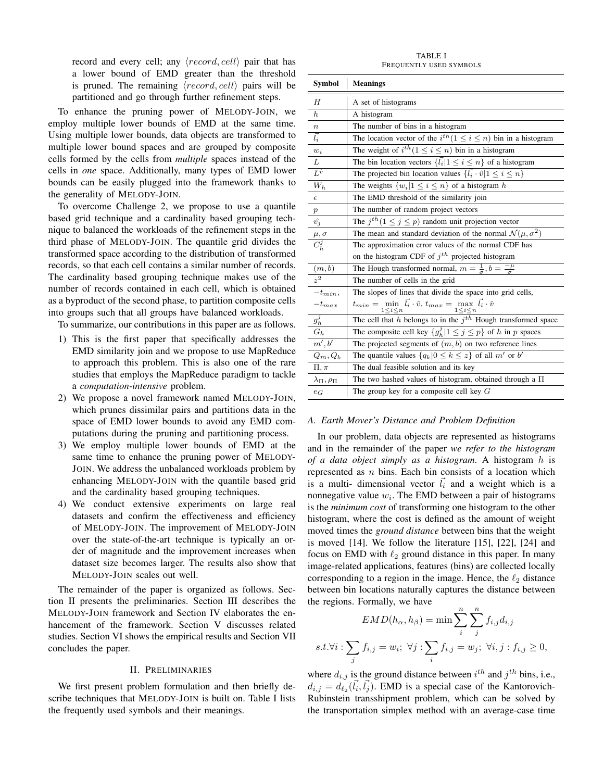record and every cell; any  $\langle record, cell \rangle$  pair that has a lower bound of EMD greater than the threshold is pruned. The remaining  $\langle record, cell \rangle$  pairs will be partitioned and go through further refinement steps.

To enhance the pruning power of MELODY-JOIN, we employ multiple lower bounds of EMD at the same time. Using multiple lower bounds, data objects are transformed to multiple lower bound spaces and are grouped by composite cells formed by the cells from *multiple* spaces instead of the cells in *one* space. Additionally, many types of EMD lower bounds can be easily plugged into the framework thanks to the generality of MELODY-JOIN.

To overcome Challenge 2, we propose to use a quantile based grid technique and a cardinality based grouping technique to balanced the workloads of the refinement steps in the third phase of MELODY-JOIN. The quantile grid divides the transformed space according to the distribution of transformed records, so that each cell contains a similar number of records. The cardinality based grouping technique makes use of the number of records contained in each cell, which is obtained as a byproduct of the second phase, to partition composite cells into groups such that all groups have balanced workloads.

To summarize, our contributions in this paper are as follows.

- 1) This is the first paper that specifically addresses the EMD similarity join and we propose to use MapReduce to approach this problem. This is also one of the rare studies that employs the MapReduce paradigm to tackle a *computation-intensive* problem.
- 2) We propose a novel framework named MELODY-JOIN, which prunes dissimilar pairs and partitions data in the space of EMD lower bounds to avoid any EMD computations during the pruning and partitioning process.
- 3) We employ multiple lower bounds of EMD at the same time to enhance the pruning power of MELODY-JOIN. We address the unbalanced workloads problem by enhancing MELODY-JOIN with the quantile based grid and the cardinality based grouping techniques.
- 4) We conduct extensive experiments on large real datasets and confirm the effectiveness and efficiency of MELODY-JOIN. The improvement of MELODY-JOIN over the state-of-the-art technique is typically an order of magnitude and the improvement increases when dataset size becomes larger. The results also show that MELODY-JOIN scales out well.

The remainder of the paper is organized as follows. Section II presents the preliminaries. Section III describes the MELODY-JOIN framework and Section IV elaborates the enhancement of the framework. Section V discusses related studies. Section VI shows the empirical results and Section VII concludes the paper.

#### II. PRELIMINARIES

We first present problem formulation and then briefly describe techniques that MELODY-JOIN is built on. Table I lists the frequently used symbols and their meanings.

TABLE I FREQUENTLY USED SYMBOLS

| Symbol                      | <b>Meanings</b>                                                                                                      |  |  |  |  |  |
|-----------------------------|----------------------------------------------------------------------------------------------------------------------|--|--|--|--|--|
| H                           | A set of histograms                                                                                                  |  |  |  |  |  |
| $\boldsymbol{h}$            | A histogram                                                                                                          |  |  |  |  |  |
| $\boldsymbol{n}$            | The number of bins in a histogram                                                                                    |  |  |  |  |  |
| $\vec{l_i}$                 | The location vector of the $i^{th}$ ( $1 \leq i \leq n$ ) bin in a histogram                                         |  |  |  |  |  |
| $w_i$                       | The weight of $i^{th}$ ( $1 \leq i \leq n$ ) bin in a histogram                                                      |  |  |  |  |  |
| $\overline{L}$              | The bin location vectors $\{\vec{l_i}   1 \leq i \leq n\}$ of a histogram                                            |  |  |  |  |  |
| $\overline{L^{\hat{v}}}$    | The projected bin location values $\{\vec{l_i} \cdot \hat{v}   1 \leq i \leq n\}$                                    |  |  |  |  |  |
| $W_h$                       | The weights $\{w_i   1 \leq i \leq n\}$ of a histogram h                                                             |  |  |  |  |  |
| $\epsilon$                  | The EMD threshold of the similarity join                                                                             |  |  |  |  |  |
| $\boldsymbol{p}$            | The number of random project vectors                                                                                 |  |  |  |  |  |
| $\hat{v_j}$                 | The $j^{th}$ ( $1 \le j \le p$ ) random unit projection vector                                                       |  |  |  |  |  |
|                             | The mean and standard deviation of the normal $\mathcal{N}(\mu, \sigma^2)$                                           |  |  |  |  |  |
| $\frac{\mu, \sigma}{C_h^j}$ | The approximation error values of the normal CDF has                                                                 |  |  |  |  |  |
|                             | on the histogram CDF of $j^{th}$ projected histogram                                                                 |  |  |  |  |  |
| $\frac{(m,b)}{z^2}$         | The Hough transformed normal, $m = \frac{1}{\sigma}$ , $b = \frac{-\mu}{\sigma}$                                     |  |  |  |  |  |
|                             | The number of cells in the grid                                                                                      |  |  |  |  |  |
| $-t_{min}$ ,                | The slopes of lines that divide the space into grid cells,                                                           |  |  |  |  |  |
| $-t_{max}$                  | $t_{min} = \min_{1 \leq i \leq n} \vec{l_i} \cdot \hat{v}, t_{max} = \max_{1 \leq i \leq n} \vec{l_i} \cdot \hat{v}$ |  |  |  |  |  |
| $g_h^j$                     | The cell that $h$ belongs to in the $jth$ Hough transformed space                                                    |  |  |  |  |  |
| $G_h$                       | The composite cell key $\{g_h^j   1 \le j \le p\}$ of h in p spaces                                                  |  |  |  |  |  |
| m',b'                       | The projected segments of $(m, b)$ on two reference lines                                                            |  |  |  |  |  |
| $Q_m, Q_b$                  | The quantile values $\{q_k 0 \leq k \leq z\}$ of all m' or b'                                                        |  |  |  |  |  |
| $\Pi, \pi$                  | The dual feasible solution and its key                                                                               |  |  |  |  |  |
| $\lambda_{\Pi}, \rho_{\Pi}$ | The two hashed values of histogram, obtained through a $\Pi$                                                         |  |  |  |  |  |
| $e_G$                       | The group key for a composite cell key $G$                                                                           |  |  |  |  |  |

#### *A. Earth Mover's Distance and Problem Definition*

In our problem, data objects are represented as histograms and in the remainder of the paper *we refer to the histogram of a data object simply as a histogram*. A histogram h is represented as  $n$  bins. Each bin consists of a location which is a multi- dimensional vector  $\vec{l}_i$  and a weight which is a nonnegative value  $w_i$ . The EMD between a pair of histograms is the *minimum cost* of transforming one histogram to the other histogram, where the cost is defined as the amount of weight moved times the *ground distance* between bins that the weight is moved [14]. We follow the literature [15], [22], [24] and focus on EMD with  $\ell_2$  ground distance in this paper. In many image-related applications, features (bins) are collected locally corresponding to a region in the image. Hence, the  $\ell_2$  distance between bin locations naturally captures the distance between the regions. Formally, we have

$$
EMD(h_{\alpha}, h_{\beta}) = \min \sum_{i}^{n} \sum_{j}^{n} f_{i,j} d_{i,j}
$$
  
s.t.  $\forall i : \sum_{j} f_{i,j} = w_i; \ \forall j : \sum_{i} f_{i,j} = w_j; \ \forall i, j : f_{i,j} \ge 0,$ 

where  $d_{i,j}$  is the ground distance between  $i^{th}$  and  $j^{th}$  bins, i.e.,  $d_{i,j} = d_{\ell_2}(\vec{l}_i, \vec{l}_j)$ . EMD is a special case of the Kantorovich-Rubinstein transshipment problem, which can be solved by the transportation simplex method with an average-case time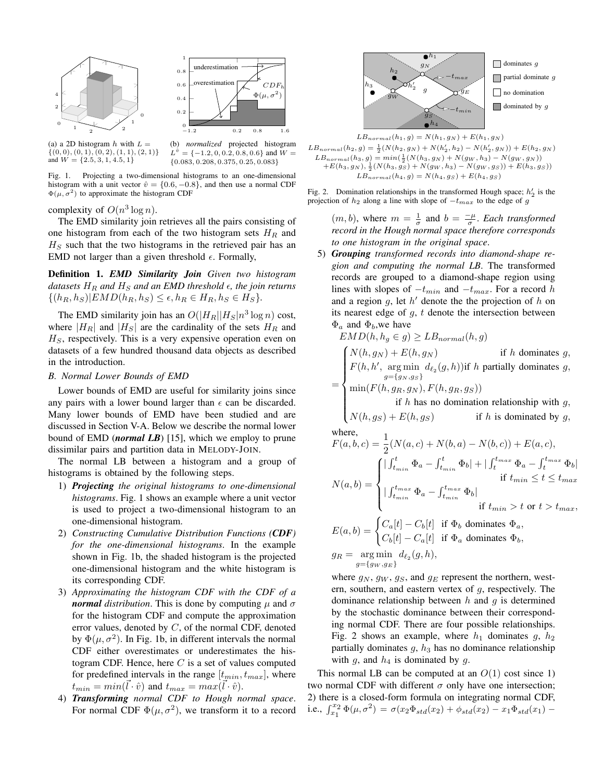



(a) a 2D histogram  $h$  with  $L =$  $\{(0,0), (0,1), (0,2), (1,1), (2,1)\}\$ and  $W = \{2.5, 3, 1, 4.5, 1\}$ 

(b) *normalized* projected histogram  $L^{\hat{v}} = \{-1.2, 0, 0.2, 0.8, 0.6\}$  and  $W =$ {0.083, 0.208, 0.375, 0.25, 0.083}

Fig. 1. Projecting a two-dimensional histograms to an one-dimensional histogram with a unit vector  $\hat{v} = \{0.6, -0.8\}$ , and then use a normal CDF  $\Phi(\mu, \sigma^2)$  to approximate the histogram CDF

complexity of  $O(n^3 \log n)$ .

The EMD similarity join retrieves all the pairs consisting of one histogram from each of the two histogram sets  $H_R$  and  $H<sub>S</sub>$  such that the two histograms in the retrieved pair has an EMD not larger than a given threshold  $\epsilon$ . Formally,

Definition 1. *EMD Similarity Join Given two histogram datasets*  $H_R$  *and*  $H_S$  *and an EMD threshold*  $\epsilon$ *, the join returns*  $\{(h_R, h_S)|EMD(h_R, h_S) \leq \epsilon, h_R \in H_R, h_S \in H_S\}.$ 

The EMD similarity join has an  $O(|H_R||H_S|n^3 \log n)$  cost, where  $|H_R|$  and  $|H_S|$  are the cardinality of the sets  $H_R$  and  $H<sub>S</sub>$ , respectively. This is a very expensive operation even on datasets of a few hundred thousand data objects as described in the introduction.

# *B. Normal Lower Bounds of EMD*

Lower bounds of EMD are useful for similarity joins since any pairs with a lower bound larger than  $\epsilon$  can be discarded. Many lower bounds of EMD have been studied and are discussed in Section V-A. Below we describe the normal lower bound of EMD (*normal LB*) [15], which we employ to prune dissimilar pairs and partition data in MELODY-JOIN.

The normal LB between a histogram and a group of histograms is obtained by the following steps.

- 1) *Projecting the original histograms to one-dimensional histograms*. Fig. 1 shows an example where a unit vector is used to project a two-dimensional histogram to an one-dimensional histogram.
- 2) *Constructing Cumulative Distribution Functions (CDF) for the one-dimensional histograms*. In the example shown in Fig. 1b, the shaded histogram is the projected one-dimensional histogram and the white histogram is its corresponding CDF.
- 3) *Approximating the histogram CDF with the CDF of a normal distribution*. This is done by computing  $\mu$  and  $\sigma$ for the histogram CDF and compute the approximation error values, denoted by C, of the normal CDF, denoted by  $\Phi(\mu, \sigma^2)$ . In Fig. 1b, in different intervals the normal CDF either overestimates or underestimates the histogram CDF. Hence, here  $C$  is a set of values computed for predefined intervals in the range  $[t_{min}, t_{max}]$ , where  $\tau_{min} = min(\vec{l} \cdot \hat{v})$  and  $t_{max} = max(\vec{l} \cdot \hat{v})$ .
- 4) *Transforming normal CDF to Hough normal space*. For normal CDF  $\Phi(\mu, \sigma^2)$ , we transform it to a record





Fig. 2. Domination relationships in the transformed Hough space;  $h'_2$  is the projection of  $h_2$  along a line with slope of  $-t_{max}$  to the edge of g

 $(m, b)$ , where  $m = \frac{1}{\sigma}$  and  $b = \frac{-\mu}{\sigma}$ . *Each transformed record in the Hough normal space therefore corresponds to one histogram in the original space*.

5) *Grouping transformed records into diamond-shape region and computing the normal LB*. The transformed records are grouped to a diamond-shape region using lines with slopes of  $-t_{min}$  and  $-t_{max}$ . For a record h and a region  $g$ , let  $h'$  denote the the projection of  $h$  on its nearest edge of  $q, t$  denote the intersection between  $\Phi_a$  and  $\Phi_b$ , we have

$$
EMD(h, h_g \in g) \ge LB_{normal}(h, g)
$$
  
\n
$$
= \begin{cases}\nN(h, g_N) + E(h, g_N) & \text{if } h \text{ dominates } g, \\
F(h, h', \arg \min_{g = \{g_N, g_S\}} d_{\ell_2}(g, h)) & \text{if } h \text{ partially dominates } g, \\
\min(F(h, g_R, g_N), F(h, g_R, g_S)) & \text{if } h \text{ has no domination relationship with } g, \\
N(h, g_S) + E(h, g_S) & \text{if } h \text{ is dominated by } g,\n\end{cases}
$$

where,  
\n
$$
F(a, b, c) = \frac{1}{2}(N(a, c) + N(b, a) - N(b, c)) + E(a, c),
$$
\n
$$
N(a, b) = \begin{cases}\n|\int_{t_{min}}^{t} \Phi_a - \int_{t_{min}}^{t} \Phi_b| + |\int_{t}^{t_{max}} \Phi_a - \int_{t}^{t_{max}} \Phi_b| \\
\text{if } t_{min} \le t \le t_{max} \\
|\int_{t_{min}}^{t_{max}} \Phi_a - \int_{t_{min}}^{t_{max}} \Phi_b| \\
\text{if } t_{min} > t \text{ or } t > t_{max},\n\end{cases}
$$
\n
$$
E(a, b) = \begin{cases}\nC_a[t] - C_b[t] & \text{if } \Phi_b \text{ dominates } \Phi_a, \\
\text{if } t_{min} > t \text{ or } t > t_{max},\n\end{cases}
$$

$$
E(a,b) = \begin{cases} C_{a}[c] & \text{if } a \neq b \text{ commutes } a, \\ C_{b}[t] - C_{a}[t] & \text{if } \Phi_{a} \text{ dominates } \Phi_{b}, \end{cases}
$$
  

$$
g_R = \underset{g = \{gw, g_E\}}{\text{arg min }} d_{\ell_2}(g, h),
$$

where  $g_N$ ,  $g_W$ ,  $g_S$ , and  $g_E$  represent the northern, western, southern, and eastern vertex of  $g$ , respectively. The dominance relationship between  $h$  and  $g$  is determined by the stochastic dominance between their corresponding normal CDF. There are four possible relationships. Fig. 2 shows an example, where  $h_1$  dominates g,  $h_2$ partially dominates  $g$ ,  $h_3$  has no dominance relationship with g, and  $h_4$  is dominated by g.

This normal LB can be computed at an  $O(1)$  cost since 1) two normal CDF with different  $\sigma$  only have one intersection; 2) there is a closed-form formula on integrating normal CDF, i.e.,  $\int_{x_1}^{x_2} \Phi(\mu, \sigma^2) = \sigma(x_2 \Phi_{std}(x_2) + \phi_{std}(x_2) - x_1 \Phi_{std}(x_1) -$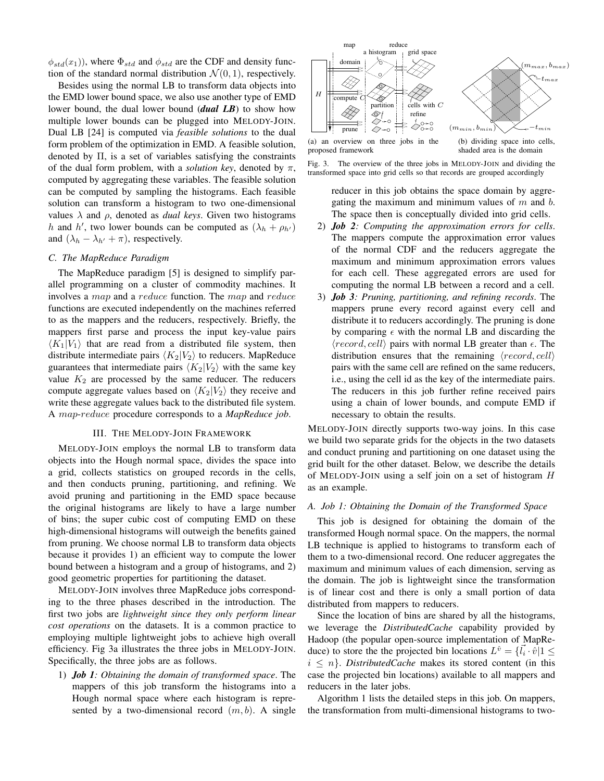$\phi_{std}(x_1)$ , where  $\Phi_{std}$  and  $\phi_{std}$  are the CDF and density function of the standard normal distribution  $\mathcal{N}(0, 1)$ , respectively.

Besides using the normal LB to transform data objects into the EMD lower bound space, we also use another type of EMD lower bound, the dual lower bound (*dual LB*) to show how multiple lower bounds can be plugged into MELODY-JOIN. Dual LB [24] is computed via *feasible solutions* to the dual form problem of the optimization in EMD. A feasible solution, denoted by Π, is a set of variables satisfying the constraints of the dual form problem, with a *solution key*, denoted by  $\pi$ , computed by aggregating these variables. The feasible solution can be computed by sampling the histograms. Each feasible solution can transform a histogram to two one-dimensional values  $\lambda$  and  $\rho$ , denoted as *dual keys*. Given two histograms h and h', two lower bounds can be computed as  $(\lambda_h + \rho_{h'})$ and  $(\lambda_h - \lambda_{h'} + \pi)$ , respectively.

# *C. The MapReduce Paradigm*

The MapReduce paradigm [5] is designed to simplify parallel programming on a cluster of commodity machines. It involves a map and a reduce function. The map and reduce functions are executed independently on the machines referred to as the mappers and the reducers, respectively. Briefly, the mappers first parse and process the input key-value pairs  $\langle K_1|V_1\rangle$  that are read from a distributed file system, then distribute intermediate pairs  $\langle K_2|V_2\rangle$  to reducers. MapReduce guarantees that intermediate pairs  $\langle K_2|V_2\rangle$  with the same key value  $K_2$  are processed by the same reducer. The reducers compute aggregate values based on  $\langle K_2|V_2\rangle$  they receive and write these aggregate values back to the distributed file system. A map-reduce procedure corresponds to a *MapReduce job*.

# III. THE MELODY-JOIN FRAMEWORK

MELODY-JOIN employs the normal LB to transform data objects into the Hough normal space, divides the space into a grid, collects statistics on grouped records in the cells, and then conducts pruning, partitioning, and refining. We avoid pruning and partitioning in the EMD space because the original histograms are likely to have a large number of bins; the super cubic cost of computing EMD on these high-dimensional histograms will outweigh the benefits gained from pruning. We choose normal LB to transform data objects because it provides 1) an efficient way to compute the lower bound between a histogram and a group of histograms, and 2) good geometric properties for partitioning the dataset.

MELODY-JOIN involves three MapReduce jobs corresponding to the three phases described in the introduction. The first two jobs are *lightweight since they only perform linear cost operations* on the datasets. It is a common practice to employing multiple lightweight jobs to achieve high overall efficiency. Fig 3a illustrates the three jobs in MELODY-JOIN. Specifically, the three jobs are as follows.

1) *Job 1: Obtaining the domain of transformed space*. The mappers of this job transform the histograms into a Hough normal space where each histogram is represented by a two-dimensional record  $(m, b)$ . A single



proposed framework shaded area is the domain



reducer in this job obtains the space domain by aggregating the maximum and minimum values of  $m$  and  $b$ . The space then is conceptually divided into grid cells.

- 2) *Job 2: Computing the approximation errors for cells*. The mappers compute the approximation error values of the normal CDF and the reducers aggregate the maximum and minimum approximation errors values for each cell. These aggregated errors are used for computing the normal LB between a record and a cell.
- 3) *Job 3: Pruning, partitioning, and refining records*. The mappers prune every record against every cell and distribute it to reducers accordingly. The pruning is done by comparing  $\epsilon$  with the normal LB and discarding the  $\langle record, cell \rangle$  pairs with normal LB greater than  $\epsilon$ . The distribution ensures that the remaining  $\langle record, cell \rangle$ pairs with the same cell are refined on the same reducers, i.e., using the cell id as the key of the intermediate pairs. The reducers in this job further refine received pairs using a chain of lower bounds, and compute EMD if necessary to obtain the results.

MELODY-JOIN directly supports two-way joins. In this case we build two separate grids for the objects in the two datasets and conduct pruning and partitioning on one dataset using the grid built for the other dataset. Below, we describe the details of MELODY-JOIN using a self join on a set of histogram H as an example.

# *A. Job 1: Obtaining the Domain of the Transformed Space*

This job is designed for obtaining the domain of the transformed Hough normal space. On the mappers, the normal LB technique is applied to histograms to transform each of them to a two-dimensional record. One reducer aggregates the maximum and minimum values of each dimension, serving as the domain. The job is lightweight since the transformation is of linear cost and there is only a small portion of data distributed from mappers to reducers.

Since the location of bins are shared by all the histograms, we leverage the *DistributedCache* capability provided by Hadoop (the popular open-source implementation of MapReduce) to store the the projected bin locations  $L^{\hat{v}} = {\{\vec{i}_i \cdot \hat{v} | 1 \leq \}$  $i \leq n$ . *DistributedCache* makes its stored content (in this case the projected bin locations) available to all mappers and reducers in the later jobs.

Algorithm 1 lists the detailed steps in this job. On mappers, the transformation from multi-dimensional histograms to two-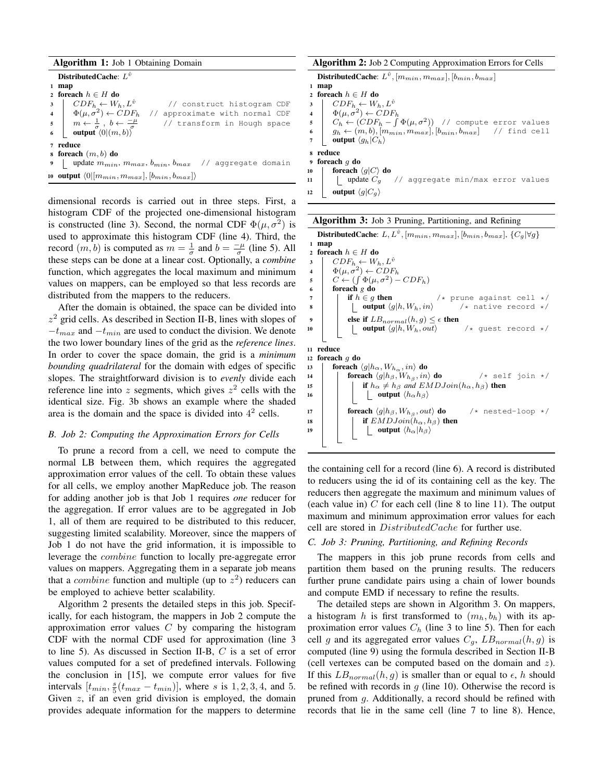| <b>Algorithm 1:</b> Job 1 Obtaining Domain |                                                                                                                                                                                                                                                                                      |  |  |  |  |  |
|--------------------------------------------|--------------------------------------------------------------------------------------------------------------------------------------------------------------------------------------------------------------------------------------------------------------------------------------|--|--|--|--|--|
|                                            | DistributedCache: $L^{\hat{v}}$                                                                                                                                                                                                                                                      |  |  |  |  |  |
|                                            | map                                                                                                                                                                                                                                                                                  |  |  |  |  |  |
|                                            | 2 foreach $h \in H$ do                                                                                                                                                                                                                                                               |  |  |  |  |  |
|                                            | $\left  \quad CDF_h \leftarrow W_h, L^{\hat{v}} \right $<br>// construct histogram CDF                                                                                                                                                                                               |  |  |  |  |  |
|                                            | // approximate with normal CDF                                                                                                                                                                                                                                                       |  |  |  |  |  |
|                                            | // transform in Hough space                                                                                                                                                                                                                                                          |  |  |  |  |  |
|                                            | $\begin{array}{c c} \mathbf{3} & CDF_h \leftarrow W_h, L^* \\ \mathbf{4} & \Phi(\mu, \sigma^2) \leftarrow CDF_h \\ \mathbf{5} & m \leftarrow \frac{1}{\sigma} \ , \ b \leftarrow \frac{-\mu}{\sigma} \\ \mathbf{6} & \textbf{output} \left< 0   (m, b) \right>^{\sigma} \end{array}$ |  |  |  |  |  |
|                                            | 7 reduce                                                                                                                                                                                                                                                                             |  |  |  |  |  |
|                                            | s foreach $(m, b)$ do                                                                                                                                                                                                                                                                |  |  |  |  |  |
|                                            | update $m_{min}$ , $m_{max}$ , $b_{min}$ , $b_{max}$ // aggregate domain                                                                                                                                                                                                             |  |  |  |  |  |
|                                            | 10 <b>output</b> $\langle 0   [m_{min}, m_{max}], [b_{min}, b_{max}] \rangle$                                                                                                                                                                                                        |  |  |  |  |  |

dimensional records is carried out in three steps. First, a histogram CDF of the projected one-dimensional histogram is constructed (line 3). Second, the normal CDF  $\Phi(\mu, \sigma^2)$  is used to approximate this histogram CDF (line 4). Third, the record  $(m, b)$  is computed as  $m = \frac{1}{\sigma}$  and  $b = \frac{-\mu}{\sigma}$  (line 5). All these steps can be done at a linear cost. Optionally, a *combine* function, which aggregates the local maximum and minimum values on mappers, can be employed so that less records are distributed from the mappers to the reducers.

After the domain is obtained, the space can be divided into  $z<sup>2</sup>$  grid cells. As described in Section II-B, lines with slopes of  $-t_{max}$  and  $-t_{min}$  are used to conduct the division. We denote the two lower boundary lines of the grid as the *reference lines*. In order to cover the space domain, the grid is a *minimum bounding quadrilateral* for the domain with edges of specific slopes. The straightforward division is to *evenly* divide each reference line into z segments, which gives  $z^2$  cells with the identical size. Fig. 3b shows an example where the shaded area is the domain and the space is divided into  $4^2$  cells.

# *B. Job 2: Computing the Approximation Errors for Cells*

To prune a record from a cell, we need to compute the normal LB between them, which requires the aggregated approximation error values of the cell. To obtain these values for all cells, we employ another MapReduce job. The reason for adding another job is that Job 1 requires *one* reducer for the aggregation. If error values are to be aggregated in Job 1, all of them are required to be distributed to this reducer, suggesting limited scalability. Moreover, since the mappers of Job 1 do not have the grid information, it is impossible to leverage the combine function to locally pre-aggregate error values on mappers. Aggregating them in a separate job means that a *combine* function and multiple (up to  $z^2$ ) reducers can be employed to achieve better scalability.

Algorithm 2 presents the detailed steps in this job. Specifically, for each histogram, the mappers in Job 2 compute the approximation error values  $C$  by comparing the histogram CDF with the normal CDF used for approximation (line 3 to line 5). As discussed in Section II-B, C is a set of error values computed for a set of predefined intervals. Following the conclusion in [15], we compute error values for five intervals  $[t_{min}, \frac{s}{5}(t_{max} - t_{min})]$ , where s is 1, 2, 3, 4, and 5. Given z, if an even grid division is employed, the domain provides adequate information for the mappers to determine

# Algorithm 2: Job 2 Computing Approximation Errors for Cells

DistributedCache:  $L^{\hat{v}}, [m_{min}, m_{max}], [b_{min}, b_{max}]$ 

```
1 map
2 foreach h \in H do
```

```
3 \mid CDF_h \leftarrow W_h, L^{\hat{v}}
```

```
4 \Phi(\mu, \sigma^2) \leftarrow CDF_h
```
5  $C_h \leftarrow (CDF_h - \int \Phi(\mu, \sigma^2))$  // compute error values

```
6 g_h \leftarrow (m, b), [m_{min}, m_{max}], [b_{min}, b_{max}] // find cell<br>7 output \langle g_h | C_h \rangleoutput \langle g_h|C_h\rangle
```

```
8 reduce
```

```
9 foreach g do
```

```
10 foreach \langle g|C \rangle do<br>11 j update C_g11 | | update C_q // aggregate min/max error values
```

```
12 output \langle g|C_q\rangle
```

|  |  |  |  |  |  | <b>Algorithm 3:</b> Job 3 Pruning, Partitioning, and Refining |
|--|--|--|--|--|--|---------------------------------------------------------------|
|--|--|--|--|--|--|---------------------------------------------------------------|

DistributedCache: L,  $L^{\hat{v}}$ ,  $[m_{min}, m_{max}]$ ,  $[b_{min}, b_{max}]$ ,  $\{C_g|\forall g\}$ <sup>1</sup> map 2 foreach  $h \in H$  do  $\overline{\textbf{3}}$   $\overline{\textbf{CDF}_h \leftarrow \textbf{W}_h, L^{\hat{v}}$ 4  $\Phi(\mu, \sigma^2) \leftarrow CDF_h$  $5 \quad C \leftarrow (\int \Phi(\mu, \sigma^2) - CDF_h)$ <sup>6</sup> foreach *g* do 7 if  $h \in g$  then  $\langle x \rangle$  prune against cell  $\star$ /<br>8 ight  $\langle g | h, W_h, in \rangle$   $\langle x \rangle$  native record  $\star$ /  $\left\lbrack \quad \text{output } \langle g | h , W_h , in \rangle \right.$ 9 else if  $LB_{normal}(h, g) \leq \epsilon$  then<br>10 else if  $UB_{normal}(h, W_h, out)$ **0utput**  $\langle g|h, W_h, out \rangle$  /\* guest record \*/ <sup>11</sup> reduce 12 foreach  $g$  do 13 **foreach**  $\langle g | h_\alpha, W_{h_\alpha}, in \rangle$  do 14 **foreach**  $\langle g|h_{\beta}, W_{h_{\beta}}, in \rangle$  do /\* self join  $*/$ 15 **if**  $h_{\alpha} \neq h_{\beta}$  and  $EMDJoin(h_{\alpha}, h_{\beta})$  then<br>16 **utput**  $\langle h_{\alpha}h_{\beta} \rangle$ | output  $\langle h_\alpha h_\beta \rangle$ 17 **foreach**  $\langle g|h_{\beta}, W_{h_{\beta}}, out \rangle$  **do**<br>**if**  $EMDJoin(h_{\alpha}, h_{\beta})$  **t**  $/*$  nested-loop  $*/$ 18 if  $EMDJoin(h_{\alpha}, h_{\beta})$  then<br>19 if  $LMDJoin(h_{\alpha}, h_{\beta})$ output  $\langle h_{\alpha}|h_{\beta}\rangle$ 

the containing cell for a record (line 6). A record is distributed to reducers using the id of its containing cell as the key. The reducers then aggregate the maximum and minimum values of (each value in)  $C$  for each cell (line 8 to line 11). The output maximum and minimum approximation error values for each cell are stored in DistributedCache for further use.

# *C. Job 3: Pruning, Partitioning, and Refining Records*

The mappers in this job prune records from cells and partition them based on the pruning results. The reducers further prune candidate pairs using a chain of lower bounds and compute EMD if necessary to refine the results.

The detailed steps are shown in Algorithm 3. On mappers, a histogram h is first transformed to  $(m_h, b_h)$  with its approximation error values  $C_h$  (line 3 to line 5). Then for each cell g and its aggregated error values  $C_q$ ,  $LB_{normal}(h, g)$  is computed (line 9) using the formula described in Section II-B (cell vertexes can be computed based on the domain and z). If this  $LB_{normal}(h, g)$  is smaller than or equal to  $\epsilon$ , h should be refined with records in  $q$  (line 10). Otherwise the record is pruned from g. Additionally, a record should be refined with records that lie in the same cell (line 7 to line 8). Hence,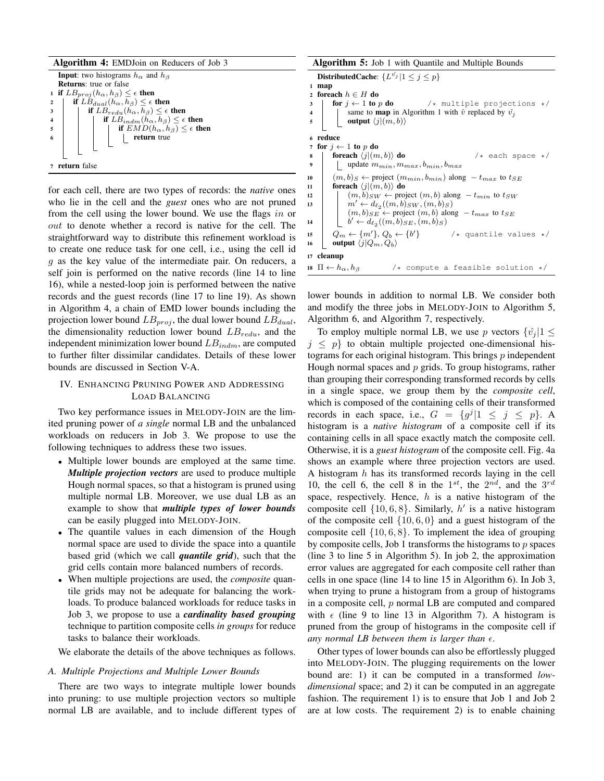

for each cell, there are two types of records: the *native* ones who lie in the cell and the *guest* ones who are not pruned from the cell using the lower bound. We use the flags in or out to denote whether a record is native for the cell. The straightforward way to distribute this refinement workload is to create one reduce task for one cell, i.e., using the cell id g as the key value of the intermediate pair. On reducers, a self join is performed on the native records (line 14 to line 16), while a nested-loop join is performed between the native records and the guest records (line 17 to line 19). As shown in Algorithm 4, a chain of EMD lower bounds including the projection lower bound  $LB_{proj}$ , the dual lower bound  $LB_{dual}$ , the dimensionality reduction lower bound  $LB_{redu}$ , and the independent minimization lower bound  $LB_{indm}$ , are computed to further filter dissimilar candidates. Details of these lower bounds are discussed in Section V-A.

# IV. ENHANCING PRUNING POWER AND ADDRESSING LOAD BALANCING

Two key performance issues in MELODY-JOIN are the limited pruning power of *a single* normal LB and the unbalanced workloads on reducers in Job 3. We propose to use the following techniques to address these two issues.

- Multiple lower bounds are employed at the same time. *Multiple projection vectors* are used to produce multiple Hough normal spaces, so that a histogram is pruned using multiple normal LB. Moreover, we use dual LB as an example to show that *multiple types of lower bounds* can be easily plugged into MELODY-JOIN.
- The quantile values in each dimension of the Hough normal space are used to divide the space into a quantile based grid (which we call *quantile grid*), such that the grid cells contain more balanced numbers of records.
- When multiple projections are used, the *composite* quantile grids may not be adequate for balancing the workloads. To produce balanced workloads for reduce tasks in Job 3, we propose to use a *cardinality based grouping* technique to partition composite cells *in groups* for reduce tasks to balance their workloads.

We elaborate the details of the above techniques as follows.

# *A. Multiple Projections and Multiple Lower Bounds*

There are two ways to integrate multiple lower bounds into pruning: to use multiple projection vectors so multiple normal LB are available, and to include different types of

| <b>Algorithm 5:</b> Job 1 with Quantile and Multiple Bounds                                                          |  |  |  |  |  |  |  |  |
|----------------------------------------------------------------------------------------------------------------------|--|--|--|--|--|--|--|--|
| DistributedCache: $\{L^{\hat{v_j}}   1 \leq j \leq p\}$                                                              |  |  |  |  |  |  |  |  |
| map<br>1                                                                                                             |  |  |  |  |  |  |  |  |
| foreach $h \in H$ do<br>$\mathbf{2}$                                                                                 |  |  |  |  |  |  |  |  |
| <b>for</b> $j \leftarrow 1$ to p do $\qquad \qquad$ /* multiple projections */<br>3                                  |  |  |  |  |  |  |  |  |
| $\frac{4}{5}$                                                                                                        |  |  |  |  |  |  |  |  |
| same to <b>map</b> in Algorithm 1 with $\hat{v}$ replaced by $\hat{v}_j$<br><b>output</b> $\langle j (m, b) \rangle$ |  |  |  |  |  |  |  |  |
| 6 reduce                                                                                                             |  |  |  |  |  |  |  |  |
| for $j \leftarrow 1$ to p do                                                                                         |  |  |  |  |  |  |  |  |
| foreach $\langle j (m, b)\rangle$ do<br>$/*$ each space $*/$<br>8                                                    |  |  |  |  |  |  |  |  |
| update $m_{min}, m_{max}, b_{min}, b_{max}$<br>9                                                                     |  |  |  |  |  |  |  |  |
| $(m, b)_{S} \leftarrow$ project $(m_{min}, b_{min})$ along $-t_{max}$ to $t_{SE}$<br>10                              |  |  |  |  |  |  |  |  |
| foreach $\langle j (m, b)\rangle$ do<br>11                                                                           |  |  |  |  |  |  |  |  |
| $(m, b)_{SW} \leftarrow$ project $(m, b)$ along $-t_{min}$ to $t_{SW}$<br>12                                         |  |  |  |  |  |  |  |  |
| $m' \leftarrow d_{\ell_2}((m, b)_{SW}, (m, b)_{S})$<br>13                                                            |  |  |  |  |  |  |  |  |
| $(m, b)_{SE} \leftarrow$ project $(m, b)$ along $- t_{max}$ to $t_{SE}$                                              |  |  |  |  |  |  |  |  |
| $b' \leftarrow d_{\ell_2}((m, b)_{SE}, (m, b)_{S})$<br>14                                                            |  |  |  |  |  |  |  |  |
| $Q_m \leftarrow \{m'\}, Q_b \leftarrow \{b'\}$ /* quantile values */<br>15                                           |  |  |  |  |  |  |  |  |
| output $\langle j Q_m, Q_b \rangle$<br>16                                                                            |  |  |  |  |  |  |  |  |
| cleanup<br>17                                                                                                        |  |  |  |  |  |  |  |  |
| 18 $\Pi \leftarrow h_{\alpha}, h_{\beta}$<br>/* compute a feasible solution */                                       |  |  |  |  |  |  |  |  |

lower bounds in addition to normal LB. We consider both and modify the three jobs in MELODY-JOIN to Algorithm 5, Algorithm 6, and Algorithm 7, respectively.

To employ multiple normal LB, we use p vectors  $\{\hat{v}_i | 1 \leq$  $j \leq p$  to obtain multiple projected one-dimensional histograms for each original histogram. This brings  $p$  independent Hough normal spaces and  $p$  grids. To group histograms, rather than grouping their corresponding transformed records by cells in a single space, we group them by the *composite cell*, which is composed of the containing cells of their transformed records in each space, i.e.,  $G = \{g^j | 1 \le j \le p\}$ . A histogram is a *native histogram* of a composite cell if its containing cells in all space exactly match the composite cell. Otherwise, it is a *guest histogram* of the composite cell. Fig. 4a shows an example where three projection vectors are used. A histogram  $h$  has its transformed records laying in the cell 10, the cell 6, the cell 8 in the  $1^{st}$ , the  $2^{nd}$ , and the  $3^{rd}$ space, respectively. Hence,  $h$  is a native histogram of the composite cell  $\{10, 6, 8\}$ . Similarly,  $h'$  is a native histogram of the composite cell  $\{10, 6, 0\}$  and a guest histogram of the composite cell  $\{10, 6, 8\}$ . To implement the idea of grouping by composite cells, Job 1 transforms the histograms to  $p$  spaces (line 3 to line 5 in Algorithm 5). In job 2, the approximation error values are aggregated for each composite cell rather than cells in one space (line 14 to line 15 in Algorithm 6). In Job 3, when trying to prune a histogram from a group of histograms in a composite cell, p normal LB are computed and compared with  $\epsilon$  (line 9 to line 13 in Algorithm 7). A histogram is pruned from the group of histograms in the composite cell if any normal LB between them is larger than  $\epsilon$ .

Other types of lower bounds can also be effortlessly plugged into MELODY-JOIN. The plugging requirements on the lower bound are: 1) it can be computed in a transformed *lowdimensional* space; and 2) it can be computed in an aggregate fashion. The requirement 1) is to ensure that Job 1 and Job 2 are at low costs. The requirement 2) is to enable chaining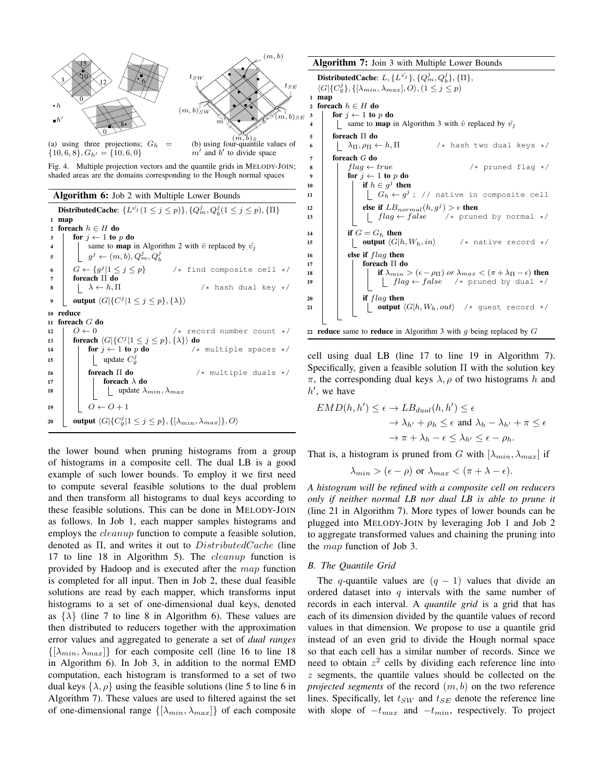

Fig. 4. Multiple projection vectors and the quantile grids in MELODY-JOIN; shaded areas are the domains corresponding to the Hough normal spaces

Algorithm 6: Job 2 with Multiple Lower Bounds

DistributedCache:  $\{L^{\hat{v_j}}(1 \leq j \leq p)\}, \{Q_m^j, Q_b^j(1 \leq j \leq p), \{\Pi\}$ <sup>1</sup> map 2 foreach  $h \in H$  do 3 | for  $j \leftarrow 1$  to p do 4 | same to **map** in Algorithm 2 with  $\hat{v}$  replaced by  $\hat{v}_j$  $\mathfrak s \quad \Big\vert \quad \Big\lfloor \ \ g^j \leftarrow (m,b), Q^j_m, Q^j_b \Big\vert$ 6  $G \leftarrow \{g^j\}$  $/*$  find composite cell  $*/$ <sup>7</sup> foreach Π do 8  $\vert \quad \vert \quad \lambda \leftarrow h, \Pi$  /\* hash dual key \*/ 9 | output  $\langle G | \{ C^j | 1 \leq j \leq p \}, \{ \lambda \} \rangle$ <sup>10</sup> reduce <sup>11</sup> foreach G do 12  $O \leftarrow 0$  /\* record number count \*/<br> **13 foreach**  $\langle G | \{ C^j | 1 \le j \le p \}, \{ \lambda \} \rangle$  **do** 13 foreach  $\langle G|\{C^j|1\leq j\leq p\}, \{\lambda\}\rangle$  do 14 **for**  $j \leftarrow 1$  to p do  $\left(\begin{array}{cc} 1 \\ 1 \end{array}\right)$   $\left(\begin{array}{cc} 1 \\ 2 \end{array}\right)$  for  $j \leftarrow 1$  to p do 15 | | update  $C_g^j$ 16 **foreach Π do**  $/*$  multiple duals  $*/$ 17  $\parallel$  foreach  $\lambda$  do 18 | | | | update  $\lambda_{min}, \lambda_{max}$ 19  $O \leftarrow O + 1$ 20 | output  $\langle G|\{C_g^j|1\leq j\leq p\},\{[\lambda_{min},\lambda_{max}]\},O\rangle$ 

the lower bound when pruning histograms from a group of histograms in a composite cell. The dual LB is a good example of such lower bounds. To employ it we first need to compute several feasible solutions to the dual problem and then transform all histograms to dual keys according to these feasible solutions. This can be done in MELODY-JOIN as follows. In Job 1, each mapper samples histograms and employs the *cleanup* function to compute a feasible solution, denoted as  $\Pi$ , and writes it out to  $DistributedCache$  (line 17 to line 18 in Algorithm 5). The cleanup function is provided by Hadoop and is executed after the map function is completed for all input. Then in Job 2, these dual feasible solutions are read by each mapper, which transforms input histograms to a set of one-dimensional dual keys, denoted as  $\{\lambda\}$  (line 7 to line 8 in Algorithm 6). These values are then distributed to reducers together with the approximation error values and aggregated to generate a set of *dual ranges*  $\{[\lambda_{min}, \lambda_{max}]\}\$ for each composite cell (line 16 to line 18 in Algorithm 6). In Job 3, in addition to the normal EMD computation, each histogram is transformed to a set of two dual keys  $\{\lambda, \rho\}$  using the feasible solutions (line 5 to line 6 in Algorithm 7). These values are used to filtered against the set of one-dimensional range  $\{[\lambda_{min}, \lambda_{max}]\}$  of each composite

#### Algorithm 7: Join 3 with Multiple Lower Bounds

DistributedCache:  $L, \{L^{\hat{v_j}}\}, \{Q^j_m, Q^j_b\}, \{\Pi\},$  $\langle G | \{C_g^j\}, \{[\lambda_{min}, \lambda_{max}], O \rangle, (1 \leq j \leq p)$ <sup>1</sup> map 2 foreach  $h \in H$  do  $3 \mid \text{for } j \leftarrow 1 \text{ to } p \text{ do}$ 4 | same to **map** in Algorithm 3 with  $\hat{v}$  replaced by  $\hat{v}_j$ 5 **foreach** Π **do**<br>6  $\left[\begin{array}{c} \lambda_{\Pi}, \rho_{\Pi} \leftarrow h, \Pi \end{array}\right]$ 6  $\vert \quad \vert \quad \lambda_{\Pi}, \rho_{\Pi} \leftarrow h, \Pi$  /\* hash two dual keys \*/ <sup>7</sup> foreach *G* do 8  $\parallel$  flag  $\leftarrow$  true /\* pruned flag \*/ 9 for  $j \leftarrow 1$  to p do 10 if  $h \in g^j$  then <sup>11</sup> G<sup>h</sup> ← g j ; // native in composite cell 12 **else if**  $LB_{normal}(h, g^j) > \epsilon$  then 13  $\left| \begin{array}{c} | \\ | \end{array} \right|$   $flag \leftarrow false$  /\* pruned by normal \*/ 14 **if**  $G = G_h$  then 15  $\vert$   $\vert$   $\vert$  **output**  $\langle G | h, W_h, in \rangle$  /\* native record \*/  $16$  else if  $flag$  then <sup>17</sup> foreach Π do 18 **i** if  $\lambda_{min} > (\epsilon - \rho_{\Pi})$  *or*  $\lambda_{max} < (\pi + \lambda_{\Pi} - \epsilon)$  then <sup>19</sup> f lag ← false /\* pruned by dual \*/  $20$  if  $flag$  then 21 | | | output  $\langle G | h, W_h, out \rangle$  /\* guest record \*/ 22 reduce same to reduce in Algorithm 3 with q being replaced by  $G$ 

cell using dual LB (line 17 to line 19 in Algorithm 7). Specifically, given a feasible solution  $\Pi$  with the solution key π, the corresponding dual keys  $λ, ρ$  of two histograms h and  $h'$ , we have

$$
EMD(h, h') \le \epsilon \to LB_{dual}(h, h') \le \epsilon
$$
  

$$
\to \lambda_{h'} + \rho_h \le \epsilon \text{ and } \lambda_h - \lambda_{h'} + \pi \le \epsilon
$$
  

$$
\to \pi + \lambda_h - \epsilon \le \lambda_{h'} \le \epsilon - \rho_h.
$$

That is, a histogram is pruned from G with  $[\lambda_{min}, \lambda_{max}]$  if

$$
\lambda_{min} > (\epsilon - \rho)
$$
 or  $\lambda_{max} < (\pi + \lambda - \epsilon)$ .

*A histogram will be refined with a composite cell on reducers only if neither normal LB nor dual LB is able to prune it* (line 21 in Algorithm 7). More types of lower bounds can be plugged into MELODY-JOIN by leveraging Job 1 and Job 2 to aggregate transformed values and chaining the pruning into the map function of Job 3.

#### *B. The Quantile Grid*

The q-quantile values are  $(q - 1)$  values that divide an ordered dataset into  $q$  intervals with the same number of records in each interval. A *quantile grid* is a grid that has each of its dimension divided by the quantile values of record values in that dimension. We propose to use a quantile grid instead of an even grid to divide the Hough normal space so that each cell has a similar number of records. Since we need to obtain  $z^2$  cells by dividing each reference line into z segments, the quantile values should be collected on the *projected segments* of the record  $(m, b)$  on the two reference lines. Specifically, let  $t_{SW}$  and  $t_{SE}$  denote the reference line with slope of  $-t_{max}$  and  $-t_{min}$ , respectively. To project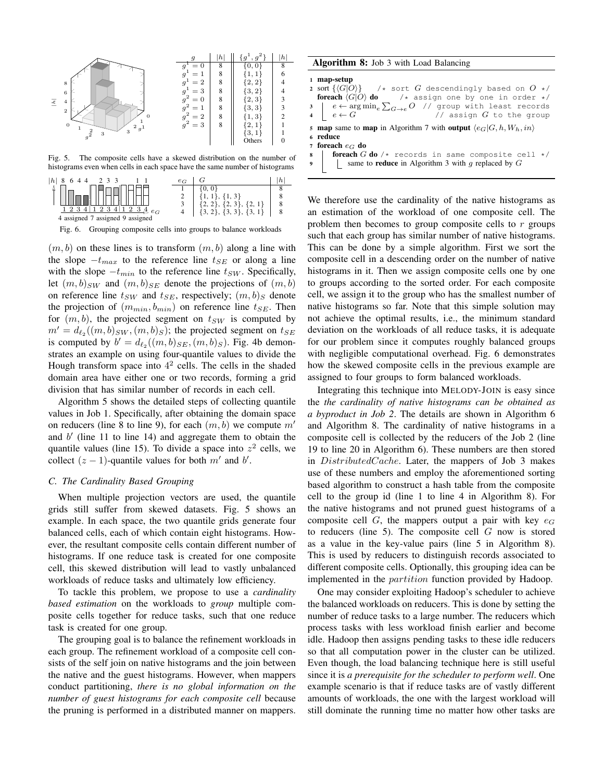

Fig. 5. The composite cells have a skewed distribution on the number of histograms even when cells in each space have the same number of histograms



Fig. 6. Grouping composite cells into groups to balance workloads

 $(m, b)$  on these lines is to transform  $(m, b)$  along a line with the slope  $-t_{max}$  to the reference line  $t_{SE}$  or along a line with the slope  $-t_{min}$  to the reference line  $t_{SW}$ . Specifically, let  $(m, b)_{SW}$  and  $(m, b)_{SE}$  denote the projections of  $(m, b)$ on reference line  $t_{SW}$  and  $t_{SE}$ , respectively;  $(m, b)_S$  denote the projection of  $(m_{min}, b_{min})$  on reference line  $t_{SE}$ . Then for  $(m, b)$ , the projected segment on  $t_{SW}$  is computed by  $m' = d_{\ell_2}(m, b)_{SW}, (m, b)_S$ ; the projected segment on  $t_{SE}$ is computed by  $b' = d_{\ell_2}((m, b)_{SE}, (m, b)_S)$ . Fig. 4b demonstrates an example on using four-quantile values to divide the Hough transform space into  $4<sup>2</sup>$  cells. The cells in the shaded domain area have either one or two records, forming a grid division that has similar number of records in each cell.

Algorithm 5 shows the detailed steps of collecting quantile values in Job 1. Specifically, after obtaining the domain space on reducers (line 8 to line 9), for each  $(m, b)$  we compute  $m'$ and  $b'$  (line 11 to line 14) and aggregate them to obtain the quantile values (line 15). To divide a space into  $z^2$  cells, we collect  $(z - 1)$ -quantile values for both m' and b'.

# *C. The Cardinality Based Grouping*

When multiple projection vectors are used, the quantile grids still suffer from skewed datasets. Fig. 5 shows an example. In each space, the two quantile grids generate four balanced cells, each of which contain eight histograms. However, the resultant composite cells contain different number of histograms. If one reduce task is created for one composite cell, this skewed distribution will lead to vastly unbalanced workloads of reduce tasks and ultimately low efficiency.

To tackle this problem, we propose to use a *cardinality based estimation* on the workloads to *group* multiple composite cells together for reduce tasks, such that one reduce task is created for one group.

The grouping goal is to balance the refinement workloads in each group. The refinement workload of a composite cell consists of the self join on native histograms and the join between the native and the guest histograms. However, when mappers conduct partitioning, *there is no global information on the number of guest histograms for each composite cell* because the pruning is performed in a distributed manner on mappers.

Algorithm 8: Job 3 with Load Balancing

| 1 map-setup                                                                                                                                                                                 |
|---------------------------------------------------------------------------------------------------------------------------------------------------------------------------------------------|
| 2 sort $\{\langle G O\rangle\}$ /* sort G descendingly based on $O \star$ /                                                                                                                 |
| <b>foreach</b> $\langle G O \rangle$ <b>do</b> /* assign one by one in order */                                                                                                             |
| $\begin{array}{c c c c c} s & e \leftarrow \arg\min_{e} \sum_{G \to e} O & \text{// group with least records} \\ 4 & e \leftarrow G & \text{// assign } G \text{ to the group} \end{array}$ |
| $\frac{1}{2}$ // assign $G$ to the group                                                                                                                                                    |
| 5 map same to map in Algorithm 7 with output $\langle e_G G, h, W_h, in \rangle$                                                                                                            |
| 6 reduce                                                                                                                                                                                    |
| 7 foreach $e_G$ do                                                                                                                                                                          |
| 8 <b>for each</b> $G$ <b>do</b> $\prime$ $\star$ records in same composite cell $\star$ /<br>9 <b>same to reduce</b> in Algorithm 3 with g replaced by $G$                                  |
|                                                                                                                                                                                             |

We therefore use the cardinality of the native histograms as an estimation of the workload of one composite cell. The problem then becomes to group composite cells to  $r$  groups such that each group has similar number of native histograms. This can be done by a simple algorithm. First we sort the composite cell in a descending order on the number of native histograms in it. Then we assign composite cells one by one to groups according to the sorted order. For each composite cell, we assign it to the group who has the smallest number of native histograms so far. Note that this simple solution may not achieve the optimal results, i.e., the minimum standard deviation on the workloads of all reduce tasks, it is adequate for our problem since it computes roughly balanced groups with negligible computational overhead. Fig. 6 demonstrates how the skewed composite cells in the previous example are assigned to four groups to form balanced workloads.

Integrating this technique into MELODY-JOIN is easy since the *the cardinality of native histograms can be obtained as a byproduct in Job 2*. The details are shown in Algorithm 6 and Algorithm 8. The cardinality of native histograms in a composite cell is collected by the reducers of the Job 2 (line 19 to line 20 in Algorithm 6). These numbers are then stored in DistributedCache. Later, the mappers of Job 3 makes use of these numbers and employ the aforementioned sorting based algorithm to construct a hash table from the composite cell to the group id (line 1 to line 4 in Algorithm 8). For the native histograms and not pruned guest histograms of a composite cell G, the mappers output a pair with key  $e_G$ to reducers (line 5). The composite cell  $G$  now is stored as a value in the key-value pairs (line 5 in Algorithm 8). This is used by reducers to distinguish records associated to different composite cells. Optionally, this grouping idea can be implemented in the partition function provided by Hadoop.

One may consider exploiting Hadoop's scheduler to achieve the balanced workloads on reducers. This is done by setting the number of reduce tasks to a large number. The reducers which process tasks with less workload finish earlier and become idle. Hadoop then assigns pending tasks to these idle reducers so that all computation power in the cluster can be utilized. Even though, the load balancing technique here is still useful since it is *a prerequisite for the scheduler to perform well*. One example scenario is that if reduce tasks are of vastly different amounts of workloads, the one with the largest workload will still dominate the running time no matter how other tasks are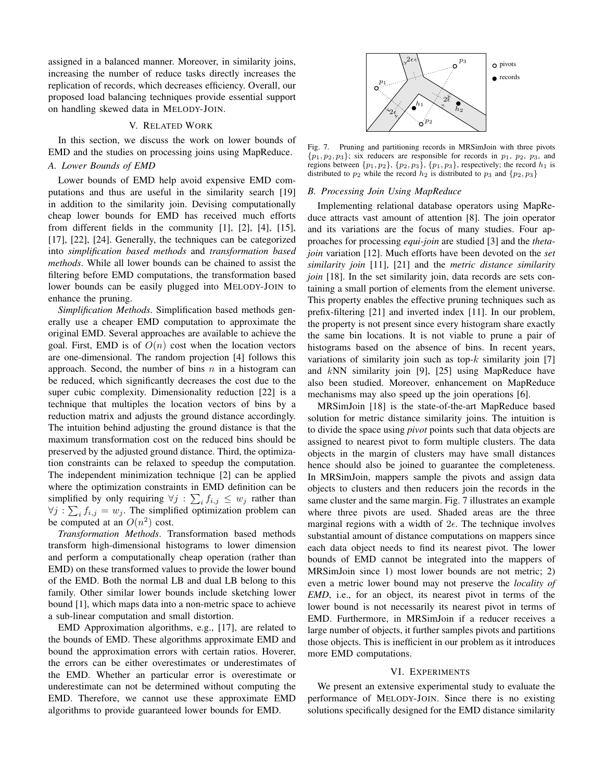assigned in a balanced manner. Moreover, in similarity joins, increasing the number of reduce tasks directly increases the replication of records, which decreases efficiency. Overall, our proposed load balancing techniques provide essential support on handling skewed data in MELODY-JOIN.

# V. RELATED WORK

In this section, we discuss the work on lower bounds of EMD and the studies on processing joins using MapReduce.

# *A. Lower Bounds of EMD*

Lower bounds of EMD help avoid expensive EMD computations and thus are useful in the similarity search [19] in addition to the similarity join. Devising computationally cheap lower bounds for EMD has received much efforts from different fields in the community [1], [2], [4], [15], [17], [22], [24]. Generally, the techniques can be categorized into *simplification based methods* and *transformation based methods*. While all lower bounds can be chained to assist the filtering before EMD computations, the transformation based lower bounds can be easily plugged into MELODY-JOIN to enhance the pruning.

*Simplification Methods*. Simplification based methods generally use a cheaper EMD computation to approximate the original EMD. Several approaches are available to achieve the goal. First, EMD is of  $O(n)$  cost when the location vectors are one-dimensional. The random projection [4] follows this approach. Second, the number of bins  $n$  in a histogram can be reduced, which significantly decreases the cost due to the super cubic complexity. Dimensionality reduction [22] is a technique that multiples the location vectors of bins by a reduction matrix and adjusts the ground distance accordingly. The intuition behind adjusting the ground distance is that the maximum transformation cost on the reduced bins should be preserved by the adjusted ground distance. Third, the optimization constraints can be relaxed to speedup the computation. The independent minimization technique [2] can be applied where the optimization constraints in EMD definition can be simplified by only requiring  $\forall j : \sum_i f_{i,j} \leq w_j$  rather than  $\forall j : \sum_i f_{i,j} = w_j$ . The simplified optimization problem can be computed at an  $O(n^2)$  cost.

*Transformation Methods*. Transformation based methods transform high-dimensional histograms to lower dimension and perform a computationally cheap operation (rather than EMD) on these transformed values to provide the lower bound of the EMD. Both the normal LB and dual LB belong to this family. Other similar lower bounds include sketching lower bound [1], which maps data into a non-metric space to achieve a sub-linear computation and small distortion.

EMD Approximation algorithms, e.g., [17], are related to the bounds of EMD. These algorithms approximate EMD and bound the approximation errors with certain ratios. Hoverer, the errors can be either overestimates or underestimates of the EMD. Whether an particular error is overestimate or underestimate can not be determined without computing the EMD. Therefore, we cannot use these approximate EMD algorithms to provide guaranteed lower bounds for EMD.



Fig. 7. Pruning and partitioning records in MRSimJoin with three pivots  $\{p_1, p_2, p_3\}$ ; six reducers are responsible for records in  $p_1$ ,  $p_2$ ,  $p_3$ , and regions between  $\{p_1, p_2\}$ ,  $\{p_2, p_3\}$ ,  $\{p_1, p_3\}$ , respectively; the record  $h_1$  is distributed to  $p_2$  while the record  $h_2$  is distributed to  $p_3$  and  $\{p_2, p_3\}$ 

#### *B. Processing Join Using MapReduce*

Implementing relational database operators using MapReduce attracts vast amount of attention [8]. The join operator and its variations are the focus of many studies. Four approaches for processing *equi-join* are studied [3] and the *thetajoin* variation [12]. Much efforts have been devoted on the *set similarity join* [11], [21] and the *metric distance similarity join* [18]. In the set similarity join, data records are sets containing a small portion of elements from the element universe. This property enables the effective pruning techniques such as prefix-filtering [21] and inverted index [11]. In our problem, the property is not present since every histogram share exactly the same bin locations. It is not viable to prune a pair of histograms based on the absence of bins. In recent years, variations of similarity join such as top- $k$  similarity join [7] and kNN similarity join [9], [25] using MapReduce have also been studied. Moreover, enhancement on MapReduce mechanisms may also speed up the join operations [6].

MRSimJoin [18] is the state-of-the-art MapReduce based solution for metric distance similarity joins. The intuition is to divide the space using *pivot* points such that data objects are assigned to nearest pivot to form multiple clusters. The data objects in the margin of clusters may have small distances hence should also be joined to guarantee the completeness. In MRSimJoin, mappers sample the pivots and assign data objects to clusters and then reducers join the records in the same cluster and the same margin. Fig. 7 illustrates an example where three pivots are used. Shaded areas are the three marginal regions with a width of  $2\epsilon$ . The technique involves substantial amount of distance computations on mappers since each data object needs to find its nearest pivot. The lower bounds of EMD cannot be integrated into the mappers of MRSimJoin since 1) most lower bounds are not metric; 2) even a metric lower bound may not preserve the *locality of EMD*, i.e., for an object, its nearest pivot in terms of the lower bound is not necessarily its nearest pivot in terms of EMD. Furthermore, in MRSimJoin if a reducer receives a large number of objects, it further samples pivots and partitions those objects. This is inefficient in our problem as it introduces more EMD computations.

## VI. EXPERIMENTS

We present an extensive experimental study to evaluate the performance of MELODY-JOIN. Since there is no existing solutions specifically designed for the EMD distance similarity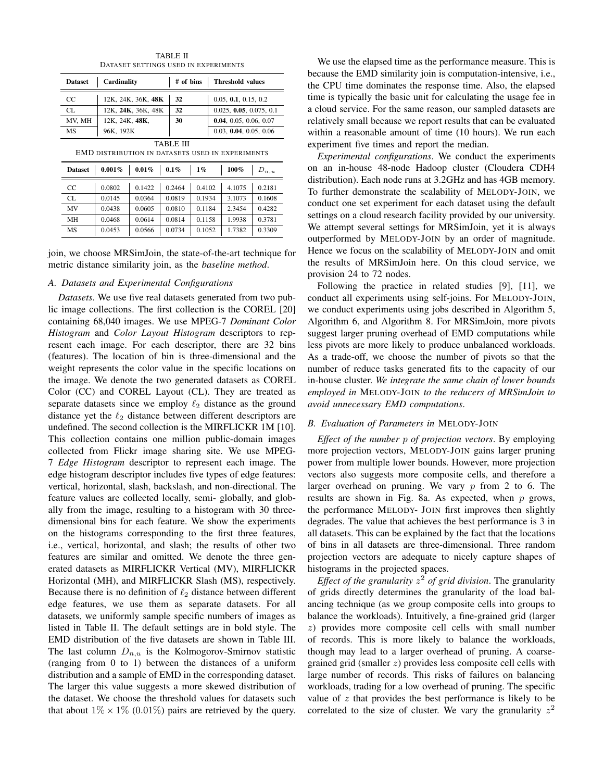| <b>Dataset</b>                                                                                                                                 | Cardinality    |                    |        | # of bins<br><b>Threshold values</b> |  |                      |        |  |
|------------------------------------------------------------------------------------------------------------------------------------------------|----------------|--------------------|--------|--------------------------------------|--|----------------------|--------|--|
| CC.                                                                                                                                            |                | 12K, 24K, 36K, 48K | 32     |                                      |  | 0.05, 0.1, 0.15, 0.2 |        |  |
| CL.                                                                                                                                            |                | 12K, 24K, 36K, 48K | 32     | 0.025, 0.05, 0.075, 0.1              |  |                      |        |  |
| MV, MH                                                                                                                                         | 12K, 24K, 48K, |                    | 30     | 0.04, 0.05, 0.06, 0.07               |  |                      |        |  |
| MS                                                                                                                                             | 96K, 192K      |                    |        | 0.03, 0.04, 0.05, 0.06               |  |                      |        |  |
| TABLE III<br>EMD DISTRIBUTION IN DATASETS USED IN EXPERIMENTS<br>0.001%<br>$0.01\%$<br>$0.1\%$<br>100%<br>$1\%$<br><b>Dataset</b><br>$D_{n,u}$ |                |                    |        |                                      |  |                      |        |  |
| CC                                                                                                                                             | 0.0802         | 0.1422             | 0.2464 | 0.4102                               |  | 4.1075               | 0.2181 |  |
| CL.                                                                                                                                            | 0.0145         | 0.0364             | 0.0819 | 0.1934                               |  | 3.1073               | 0.1608 |  |
| MV                                                                                                                                             | 0.0438         | 0.0605             | 0.0810 | 0.1184                               |  | 2.3454               | 0.4282 |  |
| MН                                                                                                                                             | 0.0468         | 0.0614             | 0.0814 | 0.1158                               |  | 1.9938               | 0.3781 |  |
| <b>MS</b>                                                                                                                                      | 0.0453         | 0.0566             | 0.0734 | 0.1052                               |  | 1.7382               | 0.3309 |  |

TABLE II DATASET SETTINGS USED IN EXPERIMENTS

join, we choose MRSimJoin, the state-of-the-art technique for metric distance similarity join, as the *baseline method*.

## *A. Datasets and Experimental Configurations*

*Datasets*. We use five real datasets generated from two public image collections. The first collection is the COREL [20] containing 68,040 images. We use MPEG-7 *Dominant Color Histogram* and *Color Layout Histogram* descriptors to represent each image. For each descriptor, there are 32 bins (features). The location of bin is three-dimensional and the weight represents the color value in the specific locations on the image. We denote the two generated datasets as COREL Color (CC) and COREL Layout (CL). They are treated as separate datasets since we employ  $\ell_2$  distance as the ground distance yet the  $\ell_2$  distance between different descriptors are undefined. The second collection is the MIRFLICKR 1M [10]. This collection contains one million public-domain images collected from Flickr image sharing site. We use MPEG-7 *Edge Histogram* descriptor to represent each image. The edge histogram descriptor includes five types of edge features: vertical, horizontal, slash, backslash, and non-directional. The feature values are collected locally, semi- globally, and globally from the image, resulting to a histogram with 30 threedimensional bins for each feature. We show the experiments on the histograms corresponding to the first three features, i.e., vertical, horizontal, and slash; the results of other two features are similar and omitted. We denote the three generated datasets as MIRFLICKR Vertical (MV), MIRFLICKR Horizontal (MH), and MIRFLICKR Slash (MS), respectively. Because there is no definition of  $\ell_2$  distance between different edge features, we use them as separate datasets. For all datasets, we uniformly sample specific numbers of images as listed in Table II. The default settings are in bold style. The EMD distribution of the five datasets are shown in Table III. The last column  $D_{n,u}$  is the Kolmogorov-Smirnov statistic (ranging from 0 to 1) between the distances of a uniform distribution and a sample of EMD in the corresponding dataset. The larger this value suggests a more skewed distribution of the dataset. We choose the threshold values for datasets such that about  $1\% \times 1\%$  (0.01%) pairs are retrieved by the query.

We use the elapsed time as the performance measure. This is because the EMD similarity join is computation-intensive, i.e., the CPU time dominates the response time. Also, the elapsed time is typically the basic unit for calculating the usage fee in a cloud service. For the same reason, our sampled datasets are relatively small because we report results that can be evaluated within a reasonable amount of time (10 hours). We run each experiment five times and report the median.

*Experimental configurations*. We conduct the experiments on an in-house 48-node Hadoop cluster (Cloudera CDH4 distribution). Each node runs at 3.2GHz and has 4GB memory. To further demonstrate the scalability of MELODY-JOIN, we conduct one set experiment for each dataset using the default settings on a cloud research facility provided by our university. We attempt several settings for MRSimJoin, yet it is always outperformed by MELODY-JOIN by an order of magnitude. Hence we focus on the scalability of MELODY-JOIN and omit the results of MRSimJoin here. On this cloud service, we provision 24 to 72 nodes.

Following the practice in related studies [9], [11], we conduct all experiments using self-joins. For MELODY-JOIN, we conduct experiments using jobs described in Algorithm 5, Algorithm 6, and Algorithm 8. For MRSimJoin, more pivots suggest larger pruning overhead of EMD computations while less pivots are more likely to produce unbalanced workloads. As a trade-off, we choose the number of pivots so that the number of reduce tasks generated fits to the capacity of our in-house cluster. *We integrate the same chain of lower bounds employed in* MELODY-JOIN *to the reducers of MRSimJoin to avoid unnecessary EMD computations*.

# *B. Evaluation of Parameters in* MELODY-JOIN

*Effect of the number* p *of projection vectors*. By employing more projection vectors, MELODY-JOIN gains larger pruning power from multiple lower bounds. However, more projection vectors also suggests more composite cells, and therefore a larger overhead on pruning. We vary  $p$  from 2 to 6. The results are shown in Fig. 8a. As expected, when  $p$  grows, the performance MELODY- JOIN first improves then slightly degrades. The value that achieves the best performance is 3 in all datasets. This can be explained by the fact that the locations of bins in all datasets are three-dimensional. Three random projection vectors are adequate to nicely capture shapes of histograms in the projected spaces.

*Effect of the granularity* z <sup>2</sup> *of grid division*. The granularity of grids directly determines the granularity of the load balancing technique (as we group composite cells into groups to balance the workloads). Intuitively, a fine-grained grid (larger z) provides more composite cell cells with small number of records. This is more likely to balance the workloads, though may lead to a larger overhead of pruning. A coarsegrained grid (smaller z) provides less composite cell cells with large number of records. This risks of failures on balancing workloads, trading for a low overhead of pruning. The specific value of  $z$  that provides the best performance is likely to be correlated to the size of cluster. We vary the granularity  $z^2$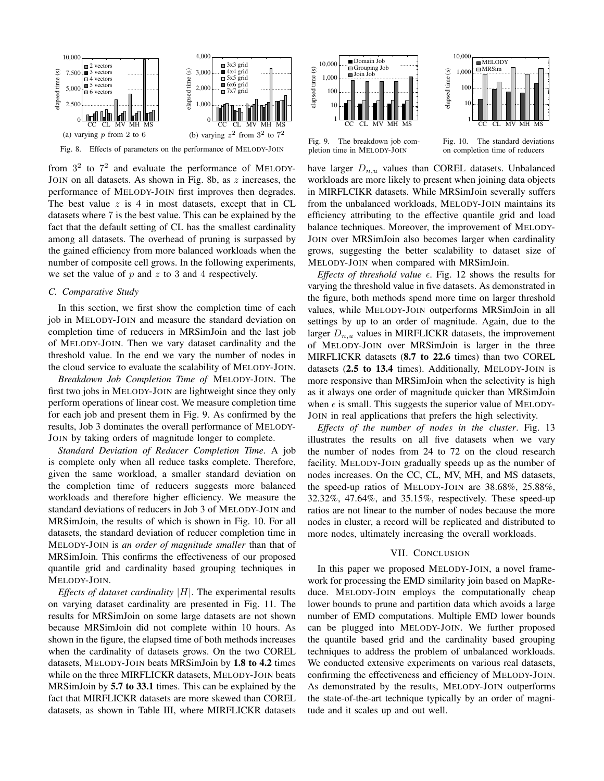

Fig. 8. Effects of parameters on the performance of MELODY-JOIN

from  $3<sup>2</sup>$  to  $7<sup>2</sup>$  and evaluate the performance of MELODY-JOIN on all datasets. As shown in Fig. 8b, as  $z$  increases, the performance of MELODY-JOIN first improves then degrades. The best value  $z$  is 4 in most datasets, except that in CL datasets where 7 is the best value. This can be explained by the fact that the default setting of CL has the smallest cardinality among all datasets. The overhead of pruning is surpassed by the gained efficiency from more balanced workloads when the number of composite cell grows. In the following experiments, we set the value of  $p$  and  $z$  to 3 and 4 respectively.

# *C. Comparative Study*

In this section, we first show the completion time of each job in MELODY-JOIN and measure the standard deviation on completion time of reducers in MRSimJoin and the last job of MELODY-JOIN. Then we vary dataset cardinality and the threshold value. In the end we vary the number of nodes in the cloud service to evaluate the scalability of MELODY-JOIN.

*Breakdown Job Completion Time of* MELODY-JOIN. The first two jobs in MELODY-JOIN are lightweight since they only perform operations of linear cost. We measure completion time for each job and present them in Fig. 9. As confirmed by the results, Job 3 dominates the overall performance of MELODY-JOIN by taking orders of magnitude longer to complete.

*Standard Deviation of Reducer Completion Time*. A job is complete only when all reduce tasks complete. Therefore, given the same workload, a smaller standard deviation on the completion time of reducers suggests more balanced workloads and therefore higher efficiency. We measure the standard deviations of reducers in Job 3 of MELODY-JOIN and MRSimJoin, the results of which is shown in Fig. 10. For all datasets, the standard deviation of reducer completion time in MELODY-JOIN is *an order of magnitude smaller* than that of MRSimJoin. This confirms the effectiveness of our proposed quantile grid and cardinality based grouping techniques in MELODY-JOIN.

*Effects of dataset cardinality* |H|. The experimental results on varying dataset cardinality are presented in Fig. 11. The results for MRSimJoin on some large datasets are not shown because MRSimJoin did not complete within 10 hours. As shown in the figure, the elapsed time of both methods increases when the cardinality of datasets grows. On the two COREL datasets, MELODY-JOIN beats MRSimJoin by 1.8 to 4.2 times while on the three MIRFLICKR datasets, MELODY-JOIN beats MRSimJoin by 5.7 to 33.1 times. This can be explained by the fact that MIRFLICKR datasets are more skewed than COREL datasets, as shown in Table III, where MIRFLICKR datasets





Fig. 9. The breakdown job completion time in MELODY-JOIN

Fig. 10. The standard deviations on completion time of reducers

have larger  $D_{n,u}$  values than COREL datasets. Unbalanced workloads are more likely to present when joining data objects in MIRFLCIKR datasets. While MRSimJoin severally suffers from the unbalanced workloads, MELODY-JOIN maintains its efficiency attributing to the effective quantile grid and load balance techniques. Moreover, the improvement of MELODY-JOIN over MRSimJoin also becomes larger when cardinality grows, suggesting the better scalability to dataset size of MELODY-JOIN when compared with MRSimJoin.

*Effects of threshold value*  $\epsilon$ . Fig. 12 shows the results for varying the threshold value in five datasets. As demonstrated in the figure, both methods spend more time on larger threshold values, while MELODY-JOIN outperforms MRSimJoin in all settings by up to an order of magnitude. Again, due to the larger  $D_{n,u}$  values in MIRFLICKR datasets, the improvement of MELODY-JOIN over MRSimJoin is larger in the three MIRFLICKR datasets (8.7 to 22.6 times) than two COREL datasets (2.5 to 13.4 times). Additionally, MELODY-JOIN is more responsive than MRSimJoin when the selectivity is high as it always one order of magnitude quicker than MRSimJoin when  $\epsilon$  is small. This suggests the superior value of MELODY-JOIN in real applications that prefers the high selectivity.

*Effects of the number of nodes in the cluster*. Fig. 13 illustrates the results on all five datasets when we vary the number of nodes from 24 to 72 on the cloud research facility. MELODY-JOIN gradually speeds up as the number of nodes increases. On the CC, CL, MV, MH, and MS datasets, the speed-up ratios of MELODY-JOIN are 38.68%, 25.88%, 32.32%, 47.64%, and 35.15%, respectively. These speed-up ratios are not linear to the number of nodes because the more nodes in cluster, a record will be replicated and distributed to more nodes, ultimately increasing the overall workloads.

# VII. CONCLUSION

In this paper we proposed MELODY-JOIN, a novel framework for processing the EMD similarity join based on MapReduce. MELODY-JOIN employs the computationally cheap lower bounds to prune and partition data which avoids a large number of EMD computations. Multiple EMD lower bounds can be plugged into MELODY-JOIN. We further proposed the quantile based grid and the cardinality based grouping techniques to address the problem of unbalanced workloads. We conducted extensive experiments on various real datasets, confirming the effectiveness and efficiency of MELODY-JOIN. As demonstrated by the results, MELODY-JOIN outperforms the state-of-the-art technique typically by an order of magnitude and it scales up and out well.